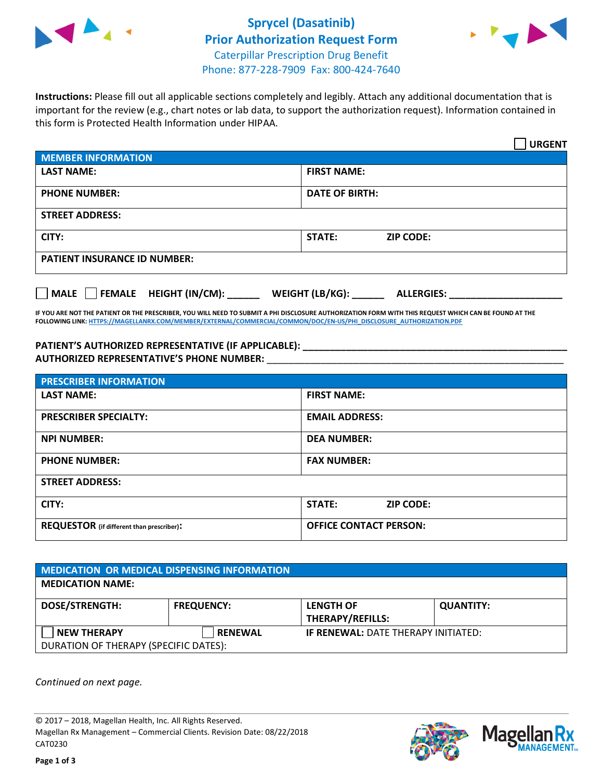



**Instructions:** Please fill out all applicable sections completely and legibly. Attach any additional documentation that is important for the review (e.g., chart notes or lab data, to support the authorization request). Information contained in this form is Protected Health Information under HIPAA.

|                                            | <b>URGENT</b>                        |  |
|--------------------------------------------|--------------------------------------|--|
| <b>MEMBER INFORMATION</b>                  |                                      |  |
| <b>LAST NAME:</b>                          | <b>FIRST NAME:</b>                   |  |
| <b>PHONE NUMBER:</b>                       | <b>DATE OF BIRTH:</b>                |  |
| <b>STREET ADDRESS:</b>                     |                                      |  |
| CITY:                                      | STATE:<br><b>ZIP CODE:</b>           |  |
| <b>PATIENT INSURANCE ID NUMBER:</b>        |                                      |  |
| FEMALE HEIGHT (IN/CM):<br>$ $ MALE $ $ $ $ | WEIGHT (LB/KG):<br><b>ALLERGIES:</b> |  |

**IF YOU ARE NOT THE PATIENT OR THE PRESCRIBER, YOU WILL NEED TO SUBMIT A PHI DISCLOSURE AUTHORIZATION FORM WITH THIS REQUEST WHICH CAN BE FOUND AT THE FOLLOWING LINK[: HTTPS://MAGELLANRX.COM/MEMBER/EXTERNAL/COMMERCIAL/COMMON/DOC/EN-US/PHI\\_DISCLOSURE\\_AUTHORIZATION.PDF](https://magellanrx.com/member/external/commercial/common/doc/en-us/PHI_Disclosure_Authorization.pdf)**

**PATIENT'S AUTHORIZED REPRESENTATIVE (IF APPLICABLE): \_\_\_\_\_\_\_\_\_\_\_\_\_\_\_\_\_\_\_\_\_\_\_\_\_\_\_\_\_\_\_\_\_\_\_\_\_\_\_\_\_\_\_\_\_\_\_\_\_ AUTHORIZED REPRESENTATIVE'S PHONE NUMBER:** \_\_\_\_\_\_\_\_\_\_\_\_\_\_\_\_\_\_\_\_\_\_\_\_\_\_\_\_\_\_\_\_\_\_\_\_\_\_\_\_\_\_\_\_\_\_\_\_\_\_\_\_\_\_\_

| <b>PRESCRIBER INFORMATION</b>             |                                   |  |  |  |
|-------------------------------------------|-----------------------------------|--|--|--|
| <b>LAST NAME:</b>                         | <b>FIRST NAME:</b>                |  |  |  |
| <b>PRESCRIBER SPECIALTY:</b>              | <b>EMAIL ADDRESS:</b>             |  |  |  |
| <b>NPI NUMBER:</b>                        | <b>DEA NUMBER:</b>                |  |  |  |
| <b>PHONE NUMBER:</b>                      | <b>FAX NUMBER:</b>                |  |  |  |
| <b>STREET ADDRESS:</b>                    |                                   |  |  |  |
| CITY:                                     | <b>STATE:</b><br><b>ZIP CODE:</b> |  |  |  |
| REQUESTOR (if different than prescriber): | <b>OFFICE CONTACT PERSON:</b>     |  |  |  |

| <b>MEDICATION OR MEDICAL DISPENSING INFORMATION</b> |                   |                                             |                  |  |  |
|-----------------------------------------------------|-------------------|---------------------------------------------|------------------|--|--|
| <b>MEDICATION NAME:</b>                             |                   |                                             |                  |  |  |
| <b>DOSE/STRENGTH:</b>                               | <b>FREQUENCY:</b> | <b>LENGTH OF</b><br><b>THERAPY/REFILLS:</b> | <b>QUANTITY:</b> |  |  |
| <b>NEW THERAPY</b>                                  | <b>RENEWAL</b>    | <b>IF RENEWAL: DATE THERAPY INITIATED:</b>  |                  |  |  |
| DURATION OF THERAPY (SPECIFIC DATES):               |                   |                                             |                  |  |  |

*Continued on next page.*

© 2017 – 2018, Magellan Health, Inc. All Rights Reserved. Magellan Rx Management – Commercial Clients. Revision Date: 08/22/2018 CAT0230



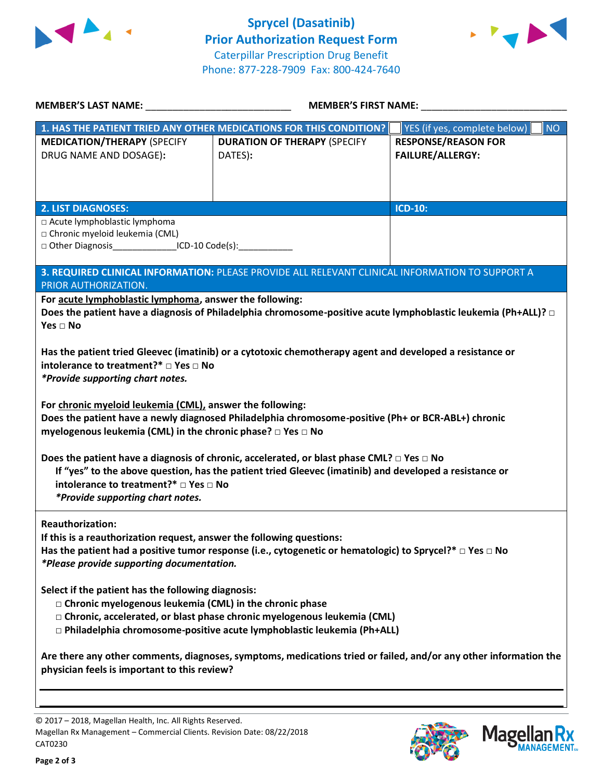



| <b>MEMBER'S LAST NAME:</b> NAME:                                                                                   | <b>MEMBER'S FIRST NAME:</b>                                                                                                                                                                                   |                                             |  |  |
|--------------------------------------------------------------------------------------------------------------------|---------------------------------------------------------------------------------------------------------------------------------------------------------------------------------------------------------------|---------------------------------------------|--|--|
|                                                                                                                    | 1. HAS THE PATIENT TRIED ANY OTHER MEDICATIONS FOR THIS CONDITION?                                                                                                                                            | YES (if yes, complete below)  <br><b>NO</b> |  |  |
| <b>MEDICATION/THERAPY (SPECIFY</b>                                                                                 | <b>DURATION OF THERAPY (SPECIFY</b>                                                                                                                                                                           | <b>RESPONSE/REASON FOR</b>                  |  |  |
| DRUG NAME AND DOSAGE):                                                                                             | DATES):                                                                                                                                                                                                       | <b>FAILURE/ALLERGY:</b>                     |  |  |
|                                                                                                                    |                                                                                                                                                                                                               |                                             |  |  |
|                                                                                                                    |                                                                                                                                                                                                               |                                             |  |  |
|                                                                                                                    |                                                                                                                                                                                                               |                                             |  |  |
| <b>2. LIST DIAGNOSES:</b>                                                                                          |                                                                                                                                                                                                               | <b>ICD-10:</b>                              |  |  |
| □ Acute lymphoblastic lymphoma<br>□ Chronic myeloid leukemia (CML)                                                 |                                                                                                                                                                                                               |                                             |  |  |
| □ Other Diagnosis___________________ICD-10 Code(s):____________________________                                    |                                                                                                                                                                                                               |                                             |  |  |
|                                                                                                                    |                                                                                                                                                                                                               |                                             |  |  |
|                                                                                                                    | 3. REQUIRED CLINICAL INFORMATION: PLEASE PROVIDE ALL RELEVANT CLINICAL INFORMATION TO SUPPORT A                                                                                                               |                                             |  |  |
| PRIOR AUTHORIZATION.                                                                                               |                                                                                                                                                                                                               |                                             |  |  |
| For acute lymphoblastic lymphoma, answer the following:                                                            |                                                                                                                                                                                                               |                                             |  |  |
| Yes $\Box$ No                                                                                                      | Does the patient have a diagnosis of Philadelphia chromosome-positive acute lymphoblastic leukemia (Ph+ALL)? $\Box$                                                                                           |                                             |  |  |
|                                                                                                                    |                                                                                                                                                                                                               |                                             |  |  |
|                                                                                                                    | Has the patient tried Gleevec (imatinib) or a cytotoxic chemotherapy agent and developed a resistance or                                                                                                      |                                             |  |  |
| intolerance to treatment?* □ Yes □ No                                                                              |                                                                                                                                                                                                               |                                             |  |  |
| *Provide supporting chart notes.                                                                                   |                                                                                                                                                                                                               |                                             |  |  |
|                                                                                                                    |                                                                                                                                                                                                               |                                             |  |  |
| For chronic myeloid leukemia (CML), answer the following:                                                          |                                                                                                                                                                                                               |                                             |  |  |
|                                                                                                                    | Does the patient have a newly diagnosed Philadelphia chromosome-positive (Ph+ or BCR-ABL+) chronic                                                                                                            |                                             |  |  |
| myelogenous leukemia (CML) in the chronic phase? □ Yes □ No                                                        |                                                                                                                                                                                                               |                                             |  |  |
|                                                                                                                    |                                                                                                                                                                                                               |                                             |  |  |
|                                                                                                                    | Does the patient have a diagnosis of chronic, accelerated, or blast phase CML? $\Box$ Yes $\Box$ No<br>If "yes" to the above question, has the patient tried Gleevec (imatinib) and developed a resistance or |                                             |  |  |
| intolerance to treatment?* □ Yes □ No                                                                              |                                                                                                                                                                                                               |                                             |  |  |
| *Provide supporting chart notes.                                                                                   |                                                                                                                                                                                                               |                                             |  |  |
|                                                                                                                    |                                                                                                                                                                                                               |                                             |  |  |
| <b>Reauthorization:</b>                                                                                            |                                                                                                                                                                                                               |                                             |  |  |
| If this is a reauthorization request, answer the following questions:                                              |                                                                                                                                                                                                               |                                             |  |  |
| Has the patient had a positive tumor response (i.e., cytogenetic or hematologic) to Sprycel?* $\Box$ Yes $\Box$ No |                                                                                                                                                                                                               |                                             |  |  |
| *Please provide supporting documentation.                                                                          |                                                                                                                                                                                                               |                                             |  |  |
| Select if the patient has the following diagnosis:                                                                 |                                                                                                                                                                                                               |                                             |  |  |
| $\Box$ Chronic myelogenous leukemia (CML) in the chronic phase                                                     |                                                                                                                                                                                                               |                                             |  |  |
| □ Chronic, accelerated, or blast phase chronic myelogenous leukemia (CML)                                          |                                                                                                                                                                                                               |                                             |  |  |
| □ Philadelphia chromosome-positive acute lymphoblastic leukemia (Ph+ALL)                                           |                                                                                                                                                                                                               |                                             |  |  |
|                                                                                                                    |                                                                                                                                                                                                               |                                             |  |  |
| Are there any other comments, diagnoses, symptoms, medications tried or failed, and/or any other information the   |                                                                                                                                                                                                               |                                             |  |  |
| physician feels is important to this review?                                                                       |                                                                                                                                                                                                               |                                             |  |  |
|                                                                                                                    |                                                                                                                                                                                                               |                                             |  |  |
|                                                                                                                    |                                                                                                                                                                                                               |                                             |  |  |